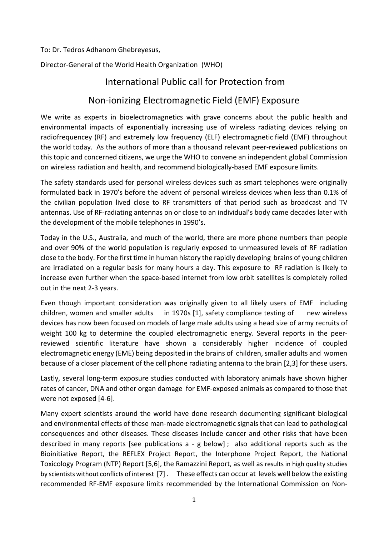To: Dr. Tedros Adhanom Ghebreyesus,

Director-General of the World Health Organization (WHO)

# International Public call for Protection from

## Non-ionizing Electromagnetic Field (EMF) Exposure

We write as experts in bioelectromagnetics with grave concerns about the public health and environmental impacts of exponentially increasing use of wireless radiating devices relying on radiofrequencey (RF) and extremely low frequency (ELF) electromagnetic field (EMF) throughout the world today. As the authors of more than a thousand relevant peer-reviewed publications on this topic and concerned citizens, we urge the WHO to convene an independent global Commission on wireless radiation and health, and recommend biologically-based EMF exposure limits.

The safety standards used for personal wireless devices such as smart telephones were originally formulated back in 1970's before the advent of personal wireless devices when less than 0.1% of the civilian population lived close to RF transmitters of that period such as broadcast and TV antennas. Use of RF-radiating antennas on or close to an individual's body came decades later with the development of the mobile telephones in 1990's.

Today in the U.S., Australia, and much of the world, there are more phone numbers than people and over 90% of the world population is regularly exposed to unmeasured levels of RF radiation close to the body. Forthe first time in human history the rapidly developing brains of young children are irradiated on a regular basis for many hours a day. This exposure to RF radiation is likely to increase even further when the space-based internet from low orbit satellites is completely rolled out in the next 2-3 years.

Even though important consideration was originally given to all likely users of EMF including children, women and smaller adults in 1970s [1], safety compliance testing of new wireless devices has now been focused on models of large male adults using a head size of army recruits of weight 100 kg to determine the coupled electromagnetic energy. Several reports in the peerreviewed scientific literature have shown a considerably higher incidence of coupled electromagnetic energy (EME) being deposited in the brains of children, smaller adults and women because of a closer placement of the cell phone radiating antenna to the brain [2,3] for these users.

Lastly, several long-term exposure studies conducted with laboratory animals have shown higher rates of cancer, DNA and other organ damage for EMF-exposed animals as compared to those that were not exposed [4-6].

Many expert scientists around the world have done research documenting significant biological and environmental effects of these man-made electromagnetic signals that can lead to pathological consequences and other diseases. These diseases include cancer and other risks that have been described in many reports [see publications a - g below] ; also additional reports such as the Bioinitiative Report, the REFLEX Project Report, the Interphone Project Report, the National Toxicology Program (NTP) Report [5,6], the Ramazzini Report, as well as results in high quality studies by scientists without conflicts of interest [7] . These effects can occur at levels well below the existing recommended RF-EMF exposure limits recommended by the International Commission on Non-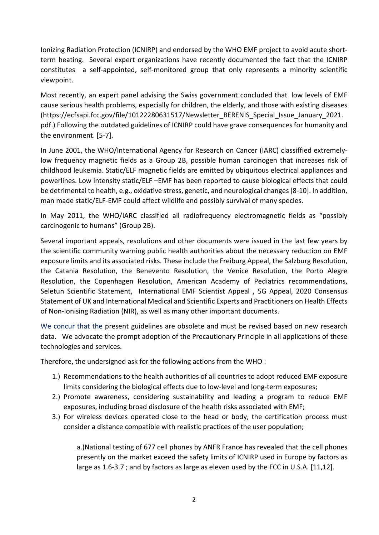Ionizing Radiation Protection (ICNIRP) and endorsed by the WHO EMF project to avoid acute shortterm heating. Several expert organizations have recently documented the fact that the ICNIRP constitutes a self-appointed, self-monitored group that only represents a minority scientific viewpoint.

Most recently, an expert panel advising the Swiss government concluded that low levels of EMF cause serious health problems, especially for children, the elderly, and those with existing diseases [\(https://ecfsapi.fcc.gov/file/10122280631517/Newsletter\\_BERENIS\\_Special\\_Issue\\_January\\_2021.](https://ecfsapi.fcc.gov/file/10122280631517/Newsletter_BERENIS_Special_Issue_January_2021.pdf) [pdf.](https://ecfsapi.fcc.gov/file/10122280631517/Newsletter_BERENIS_Special_Issue_January_2021.pdf)) Following the outdated guidelines of ICNIRP could have grave consequences for humanity and the environment. [5-7].

In June 2001, the WHO/International Agency for Research on Cancer (IARC) classiffied extremelylow frequency magnetic fields as a Group 2B, possible human carcinogen that increases risk of childhood leukemia. Static/ELF magnetic fields are emitted by ubiquitous electrical appliances and powerlines. Low intensity static/ELF –EMF has been reported to cause biological effects that could be detrimental to health, e.g., oxidative stress, genetic, and neurological changes [8-10]. In addition, man made static/ELF-EMF could affect wildlife and possibly survival of many species.

In May 2011, the WHO/IARC classified all radiofrequency electromagnetic fields as "possibly carcinogenic to humans" (Group 2B).

Several important appeals, resolutions and other documents were issued in the last few years by the scientific community warning public health authorities about the necessary reduction on EMF exposure limits and its associated risks. These include the Freiburg Appeal, the Salzburg Resolution, the Catania Resolution, the Benevento Resolution, the Venice Resolution, the Porto Alegre Resolution, the Copenhagen Resolution, American Academy of Pediatrics recommendations, Seletun Scientific Statement, International EMF Scientist Appeal , 5G Appeal, 2020 Consensus Statement of UK and International Medical and Scientific Experts and Practitioners on Health Effects of Non-Ionising Radiation (NIR), as well as many other important documents.

We concur that the present guidelines are obsolete and must be revised based on new research data. We advocate the prompt adoption of the Precautionary Principle in all applications of these technologies and services.

Therefore, the undersigned ask for the following actions from the WHO :

- 1.) Recommendations to the health authorities of all countries to adopt reduced EMF exposure limits considering the biological effects due to low-level and long-term exposures;
- 2.) Promote awareness, considering sustainability and leading a program to reduce EMF exposures, including broad disclosure of the health risks associated with EMF;
- 3.) For wireless devices operated close to the head or body, the certification process must consider a distance compatible with realistic practices of the user population;

a.)National testing of 677 cell phones by ANFR France has revealed that the cell phones presently on the market exceed the safety limits of ICNIRP used in Europe by factors as large as 1.6-3.7 ; and by factors as large as eleven used by the FCC in U.S.A. [11,12].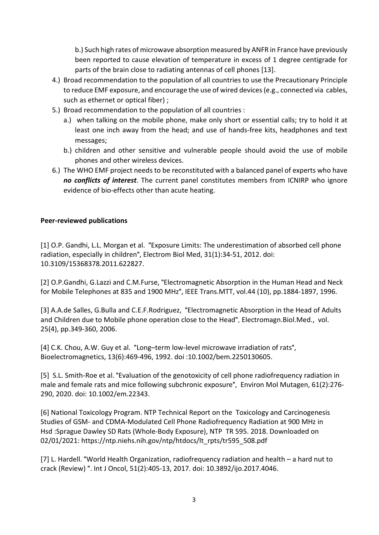b.) Such high rates of microwave absorption measured by ANFR in France have previously been reported to cause elevation of temperature in excess of 1 degree centigrade for parts of the brain close to radiating antennas of cell phones [13].

- 4.) Broad recommendation to the population of all countries to use the Precautionary Principle to reduce EMF exposure, and encourage the use of wired devices (e.g., connected via cables, such as ethernet or optical fiber) ;
- 5.) Broad recommendation to the population of all countries :
	- a.) when talking on the mobile phone, make only short or essential calls; try to hold it at least one inch away from the head; and use of hands-free kits, headphones and text messages;
	- b.) children and other sensitive and vulnerable people should avoid the use of mobile phones and other wireless devices.
- 6.) The WHO EMF project needs to be reconstituted with a balanced panel of experts who have *no conflicts of interest*. The current panel constitutes members from ICNIRP who ignore evidence of bio-effects other than acute heating.

#### **Peer-reviewed publications**

[1] O.P. Gandhi, L.L. Morgan et al. "Exposure Limits: The underestimation of absorbed cell phone radiation, especially in children", Electrom Biol Med, 31(1):34-51, 2012. doi: 10.3109/15368378.2011.622827.

[2] O.P.Gandhi, G.Lazzi and C.M.Furse, "Electromagnetic Absorption in the Human Head and Neck for Mobile Telephones at 835 and 1900 MHz", IEEE Trans.MTT, vol.44 (10), pp.1884-1897, 1996.

[3] A.A.de Salles, G.Bulla and C.E.F.Rodriguez, "Electromagnetic Absorption in the Head of Adults and Children due to Mobile phone operation close to the Head", Electromagn.Biol.Med., vol. 25(4), pp.349-360, 2006.

[4] C.K. Chou, A.W. Guy et al. "Long–term low-level microwave irradiation of rats", Bioelectromagnetics, 13(6):469-496, 1992. doi :10.1002/bem.2250130605.

[5] S.L. Smith-Roe et al. "Evaluation of the genotoxicity of cell phone radiofrequency radiation in male and female rats and mice following subchronic exposure", Environ Mol Mutagen, 61(2):276- 290, 2020. doi: 10.1002/em.22343.

[6] National Toxicology Program. NTP Technical Report on the Toxicology and Carcinogenesis Studies of GSM- and CDMA-Modulated Cell Phone Radiofrequency Radiation at 900 MHz in Hsd :Sprague Dawley SD Rats (Whole-Body Exposure), NTP TR 595. 2018. Downloaded on 02/01/2021[: https://ntp.niehs.nih.gov/ntp/htdocs/lt\\_rpts/tr595\\_508.pdf](https://ntp.niehs.nih.gov/ntp/htdocs/lt_rpts/tr595_508.pdf)

[7] L. Hardell. "[World Health Organization, radiofrequency radiation and health –](https://www.spandidos-publications.com/10.3892/ijo.2017.4046) [a hard nut to](https://www.spandidos-publications.com/10.3892/ijo.2017.4046)  [crack \(Review\)](https://www.spandidos-publications.com/10.3892/ijo.2017.4046) ". Int J Oncol, 51(2):405-13, 2017. doi: 10.3892/ijo.2017.4046.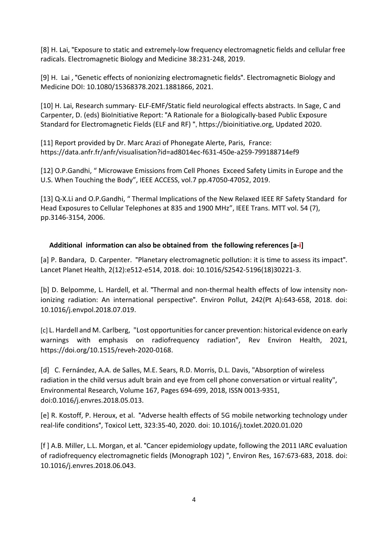[8] H. Lai, "Exposure to static and extremely-low frequency electromagnetic fields and cellular free radicals. Electromagnetic Biology and Medicine 38:231-248, 2019.

[9] H. Lai , "Genetic effects of nonionizing electromagnetic fields". Electromagnetic Biology and Medicine DOI: [10.1080/15368378.2021.1881866,](https://doi-org.offcampus.lib.washington.edu/10.1080/15368378.2021.1881866) 2021.

[10] H. Lai, Research summary- ELF-EMF/Static field neurological effects abstracts. In Sage, C and Carpenter, D. (eds) BioInitiative Report: "[A Rationale for a Biologically-based Public Exposure](https://bioinitiative.org/)  [Standard for Electromagnetic Fields \(ELF and RF\)](https://bioinitiative.org/) ", [https://bioinitiative.org,](https://bioinitiative.org/) Updated 2020.

[11] Report provided by Dr. Marc Arazi of Phonegate Alerte, Paris, France: https://data.anfr.fr/anfr/visualisation?id=ad8014ec-f631-450e-a259-799188714ef9

[12] O.P.Gandhi, " Microwave Emissions from Cell Phones Exceed Safety Limits in Europe and the U.S. When Touching the Body", IEEE ACCESS, vol.7 pp.47050-47052, 2019.

[13] Q-X.Li and O.P.Gandhi, " Thermal Implications of the New Relaxed IEEE RF Safety Standard for Head Exposures to Cellular Telephones at 835 and 1900 MHz", IEEE Trans. MTT vol. 54 (7), pp.3146-3154, 2006.

### **Additional information can also be obtained from the following references [a-i]**

[a] P. Bandara, D. Carpenter. "[Planetary electromagnetic pollution: it is time to assess its impact](https://www.sciencedirect.com/science/article/pii/S2542519618302213?via%3Dihub)". Lancet Planet Health, 2(12):e512-e514, 2018. doi: 10.1016/S2542-5196(18)30221-3.

[b] D. Belpomme, L. Hardell, et al. "[Thermal and non-thermal health effects of low intensity non](https://www.ncbi.nlm.nih.gov/pubmed/30025338)[ionizing radiation: An international perspective](https://www.ncbi.nlm.nih.gov/pubmed/30025338)". Environ Pollut, 242(Pt A):643-658, 2018. doi: 10.1016/j.envpol.2018.07.019.

[c] L. Hardell and M. Carlberg, "Lost opportunities for cancer prevention: historical evidence on early warnings with emphasis on radiofrequency radiation", Rev Environ Health, 2021, https://doi.org/10.1515/reveh-2020-0168.

[d] C. Fernández, A.A. de Salles, M.E. Sears, R.D. Morris, D.L. Davis, "Absorption of wireless [radiation in the child versus adult brain and eye from cell phone](https://www.sciencedirect.com/science/article/pii/S0013935118302561) conversation or virtual reality", Environmental Research, Volume 167, Pages 694-699, 2018, ISSN 0013-9351, doi:0.1016/j.envres.2018.05.013.

[e] R. Kostoff, P. Heroux, et al. "[Adverse health effects of 5G mobile networking technology under](https://www.sciencedirect.com/science/article/abs/pii/S037842742030028X)  [real-life conditions](https://www.sciencedirect.com/science/article/abs/pii/S037842742030028X)", Toxicol Lett, 323:35-40, 2020. doi: 10.1016/j.toxlet.2020.01.020

[f ] A.B. Miller, L.L. Morgan, et al. "[Cancer epidemiology update, following the 2011 IARC evaluation](https://www.sciencedirect.com/science/article/pii/S0013935118303475)  [of radiofrequency electromagnetic fields \(Monograph 102\)](https://www.sciencedirect.com/science/article/pii/S0013935118303475) ", Environ Res, 167:673-683, 2018. doi: 10.1016/j.envres.2018.06.043.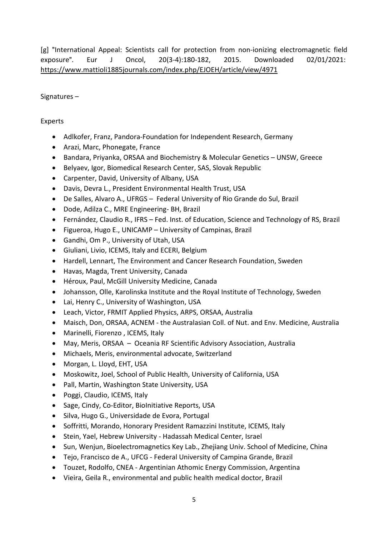[g] "[International Appeal: Scientists call for protection from non-ionizing electromagnetic field](https://www.researchgate.net/publication/298533689_International_Appeal_Scientists_call_for_protection_from_non-ionizing_electromagnetic_field_exposure)  [exposure](https://www.researchgate.net/publication/298533689_International_Appeal_Scientists_call_for_protection_from_non-ionizing_electromagnetic_field_exposure)". Eur J Oncol, 20(3-4):180-182, 2015. Downloaded 02/01/2021: <https://www.mattioli1885journals.com/index.php/EJOEH/article/view/4971>

Signatures –

### Experts

- Adlkofer, Franz, Pandora-Foundation for Independent Research, Germany
- Arazi, Marc, Phonegate, France
- Bandara, Priyanka, ORSAA and Biochemistry & Molecular Genetics UNSW, Greece
- Belyaev, Igor, Biomedical Research Center, SAS, Slovak Republic
- Carpenter, David, University of Albany, USA
- Davis, Devra L., President Environmental Health Trust, USA
- De Salles, Alvaro A., UFRGS Federal University of Rio Grande do Sul, Brazil
- Dode, Adilza C., MRE Engineering- BH, Brazil
- Fernández, Claudio R., IFRS Fed. Inst. of Education, Science and Technology of RS, Brazil
- Figueroa, Hugo E., UNICAMP University of Campinas, Brazil
- Gandhi, Om P., University of Utah, USA
- Giuliani, Livio, ICEMS, Italy and ECERI, Belgium
- Hardell, Lennart, The Environment and Cancer Research Foundation, Sweden
- Havas, Magda, Trent University, Canada
- Héroux, Paul, McGill University Medicine, Canada
- Johansson, Olle, Karolinska Institute and the Royal Institute of Technology, Sweden
- Lai, Henry C., University of Washington, USA
- Leach, Victor, FRMIT Applied Physics, ARPS, ORSAA, Australia
- Maisch, Don, ORSAA, ACNEM the Australasian Coll. of Nut. and Env. Medicine, Australia
- Marinelli, Fiorenzo , ICEMS, Italy
- May, Meris, ORSAA Oceania RF Scientific Advisory Association, Australia
- Michaels, Meris, environmental advocate, Switzerland
- Morgan, L. Lloyd, EHT, USA
- Moskowitz, Joel, School of Public Health, University of California, USA
- Pall, Martin, Washington State University, USA
- Poggi, Claudio, ICEMS, Italy
- Sage, Cindy, Co-Editor, BioInitiative Reports, USA
- Silva, Hugo G., Universidade de Evora, Portugal
- Soffritti, Morando, Honorary President Ramazzini Institute, ICEMS, Italy
- Stein, Yael, Hebrew University Hadassah Medical Center, Israel
- Sun, Wenjun, Bioelectromagnetics Key Lab., Zhejiang Univ. School of Medicine, China
- Tejo, Francisco de A., UFCG Federal University of Campina Grande, Brazil
- Touzet, Rodolfo, CNEA Argentinian Athomic Energy Commission, Argentina
- Vieira, Geila R., environmental and public health medical doctor, Brazil